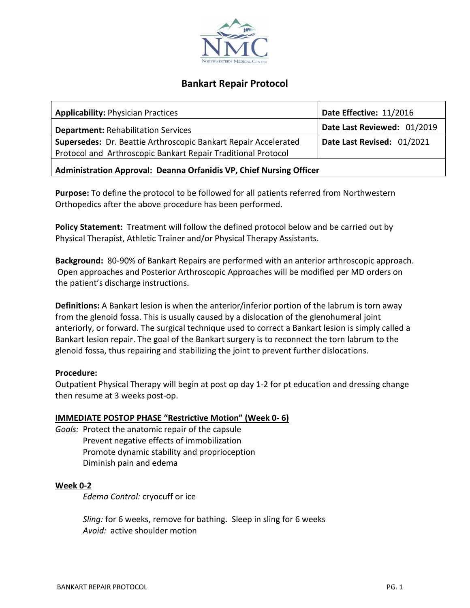

# **Bankart Repair Protocol**

| <b>Applicability: Physician Practices</b>                       | Date Effective: 11/2016     |
|-----------------------------------------------------------------|-----------------------------|
| <b>Department: Rehabilitation Services</b>                      | Date Last Reviewed: 01/2019 |
| Supersedes: Dr. Beattie Arthroscopic Bankart Repair Accelerated | Date Last Revised: 01/2021  |
| Protocol and Arthroscopic Bankart Repair Traditional Protocol   |                             |
|                                                                 |                             |

**Administration Approval: Deanna Orfanidis VP, Chief Nursing Officer**

**Purpose:** To define the protocol to be followed for all patients referred from Northwestern Orthopedics after the above procedure has been performed.

**Policy Statement:** Treatment will follow the defined protocol below and be carried out by Physical Therapist, Athletic Trainer and/or Physical Therapy Assistants.

**Background:** 80-90% of Bankart Repairs are performed with an anterior arthroscopic approach. Open approaches and Posterior Arthroscopic Approaches will be modified per MD orders on the patient's discharge instructions.

**Definitions:** A Bankart lesion is when the anterior/inferior portion of the labrum is torn away from the glenoid fossa. This is usually caused by a dislocation of the glenohumeral joint anteriorly, or forward. The surgical technique used to correct a Bankart lesion is simply called a Bankart lesion repair. The goal of the Bankart surgery is to reconnect the torn labrum to the glenoid fossa, thus repairing and stabilizing the joint to prevent further dislocations.

## **Procedure:**

Outpatient Physical Therapy will begin at post op day 1-2 for pt education and dressing change then resume at 3 weeks post-op.

## **IMMEDIATE POSTOP PHASE "Restrictive Motion" (Week 0- 6)**

*Goals:* Protect the anatomic repair of the capsule Prevent negative effects of immobilization Promote dynamic stability and proprioception Diminish pain and edema

### **Week 0-2**

*Edema Control:* cryocuff or ice

*Sling:* for 6 weeks, remove for bathing. Sleep in sling for 6 weeks *Avoid:* active shoulder motion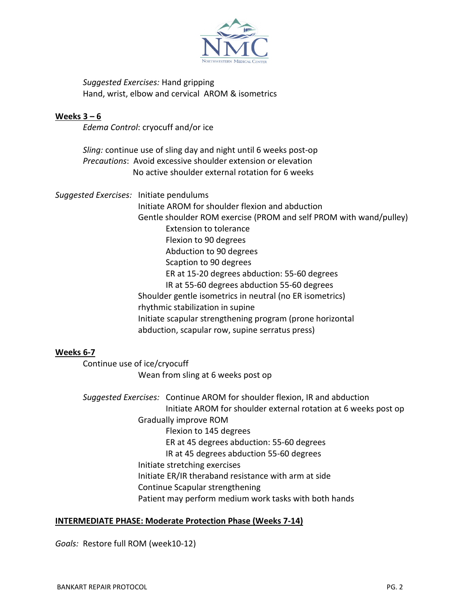

*Suggested Exercises:* Hand gripping Hand, wrist, elbow and cervical AROM & isometrics

### **Weeks 3 – 6**

*Edema Control*: cryocuff and/or ice

*Sling:* continue use of sling day and night until 6 weeks post-op *Precautions*: Avoid excessive shoulder extension or elevation No active shoulder external rotation for 6 weeks

*Suggested Exercises:* Initiate pendulums Initiate AROM for shoulder flexion and abduction Gentle shoulder ROM exercise (PROM and self PROM with wand/pulley) Extension to tolerance Flexion to 90 degrees Abduction to 90 degrees Scaption to 90 degrees ER at 15-20 degrees abduction: 55-60 degrees IR at 55-60 degrees abduction 55-60 degrees Shoulder gentle isometrics in neutral (no ER isometrics) rhythmic stabilization in supine Initiate scapular strengthening program (prone horizontal abduction, scapular row, supine serratus press)

### **Weeks 6-7**

Continue use of ice/cryocuff Wean from sling at 6 weeks post op

*Suggested Exercises:* Continue AROM for shoulder flexion, IR and abduction Initiate AROM for shoulder external rotation at 6 weeks post op Gradually improve ROM Flexion to 145 degrees ER at 45 degrees abduction: 55-60 degrees IR at 45 degrees abduction 55-60 degrees Initiate stretching exercises Initiate ER/IR theraband resistance with arm at side Continue Scapular strengthening Patient may perform medium work tasks with both hands

### **INTERMEDIATE PHASE: Moderate Protection Phase (Weeks 7-14)**

*Goals:* Restore full ROM (week10-12)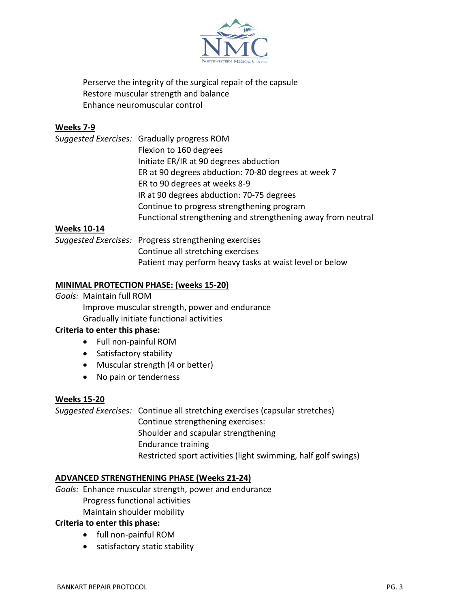

Perserve the integrity of the surgical repair of the capsule Restore muscular strength and balance Enhance neuromuscular control

## **Weeks 7-9**

|                    | Suggested Exercises: Gradually progress ROM                  |
|--------------------|--------------------------------------------------------------|
|                    | Flexion to 160 degrees                                       |
|                    | Initiate ER/IR at 90 degrees abduction                       |
|                    | ER at 90 degrees abduction: 70-80 degrees at week 7          |
|                    | ER to 90 degrees at weeks 8-9                                |
|                    | IR at 90 degrees abduction: 70-75 degrees                    |
|                    | Continue to progress strengthening program                   |
|                    | Functional strengthening and strengthening away from neutral |
| <b>Weeks 10-14</b> |                                                              |

*Suggested Exercises:* Progress strengthening exercises Continue all stretching exercises Patient may perform heavy tasks at waist level or below

### **MINIMAL PROTECTION PHASE: (weeks 15-20)**

*Goals:* Maintain full ROM Improve muscular strength, power and endurance Gradually initiate functional activities

### **Criteria to enter this phase:**

- Full non-painful ROM
- Satisfactory stability
- Muscular strength (4 or better)
- No pain or tenderness

#### **Weeks 15-20**

*Suggested Exercises:* Continue all stretching exercises (capsular stretches) Continue strengthening exercises: Shoulder and scapular strengthening Endurance training Restricted sport activities (light swimming, half golf swings)

#### **ADVANCED STRENGTHENING PHASE (Weeks 21-24)**

*Goals:* Enhance muscular strength, power and endurance Progress functional activities Maintain shoulder mobility

#### **Criteria to enter this phase:**

- full non-painful ROM
- satisfactory static stability